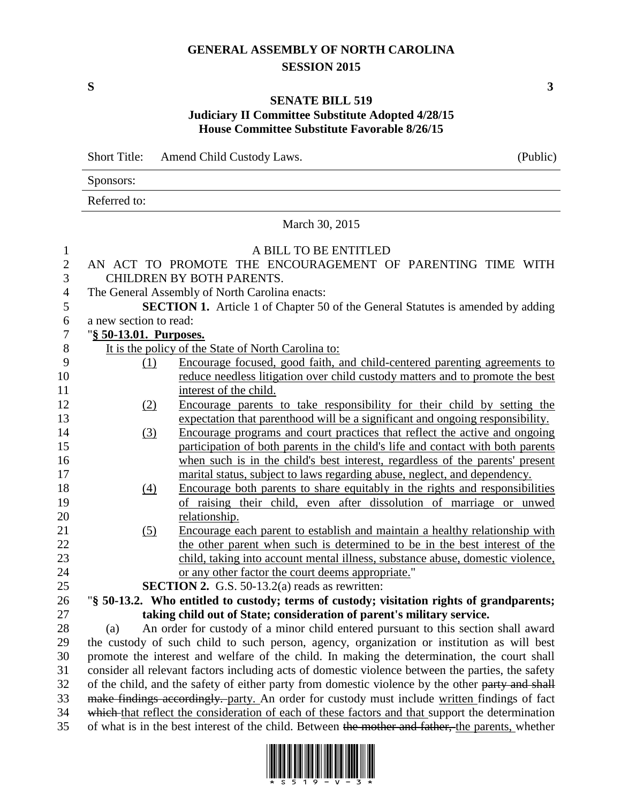## **GENERAL ASSEMBLY OF NORTH CAROLINA SESSION 2015**

**S 3**

## **SENATE BILL 519 Judiciary II Committee Substitute Adopted 4/28/15 House Committee Substitute Favorable 8/26/15**

|              | <b>Short Title:</b><br>Amend Child Custody Laws.                                                  |                                                                                             | (Public) |
|--------------|---------------------------------------------------------------------------------------------------|---------------------------------------------------------------------------------------------|----------|
|              | Sponsors:                                                                                         |                                                                                             |          |
|              | Referred to:                                                                                      |                                                                                             |          |
|              | March 30, 2015                                                                                    |                                                                                             |          |
| $\mathbf{1}$ |                                                                                                   | A BILL TO BE ENTITLED                                                                       |          |
| $\mathbf{2}$ |                                                                                                   | AN ACT TO PROMOTE THE ENCOURAGEMENT OF PARENTING TIME WITH                                  |          |
| 3            |                                                                                                   | CHILDREN BY BOTH PARENTS.                                                                   |          |
| 4            |                                                                                                   | The General Assembly of North Carolina enacts:                                              |          |
| 5            |                                                                                                   | SECTION 1. Article 1 of Chapter 50 of the General Statutes is amended by adding             |          |
| 6            | a new section to read:                                                                            |                                                                                             |          |
| 7            | "§ 50-13.01. Purposes.                                                                            |                                                                                             |          |
| 8            |                                                                                                   | It is the policy of the State of North Carolina to:                                         |          |
| 9            | (1)                                                                                               | Encourage focused, good faith, and child-centered parenting agreements to                   |          |
| 10           |                                                                                                   | reduce needless litigation over child custody matters and to promote the best               |          |
| 11           |                                                                                                   | interest of the child.                                                                      |          |
| 12           | (2)                                                                                               | Encourage parents to take responsibility for their child by setting the                     |          |
| 13           |                                                                                                   | expectation that parenthood will be a significant and ongoing responsibility.               |          |
| 14           | (3)                                                                                               | Encourage programs and court practices that reflect the active and ongoing                  |          |
| 15           |                                                                                                   | participation of both parents in the child's life and contact with both parents             |          |
| 16           |                                                                                                   | when such is in the child's best interest, regardless of the parents' present               |          |
| 17           |                                                                                                   | marital status, subject to laws regarding abuse, neglect, and dependency.                   |          |
| 18           | (4)                                                                                               | Encourage both parents to share equitably in the rights and responsibilities                |          |
| 19           |                                                                                                   | of raising their child, even after dissolution of marriage or unwed                         |          |
| 20           |                                                                                                   | relationship.                                                                               |          |
| 21           | (5)                                                                                               | Encourage each parent to establish and maintain a healthy relationship with                 |          |
| 22           |                                                                                                   | the other parent when such is determined to be in the best interest of the                  |          |
| 23           |                                                                                                   | child, taking into account mental illness, substance abuse, domestic violence,              |          |
| 24           |                                                                                                   | or any other factor the court deems appropriate."                                           |          |
| 25           |                                                                                                   | <b>SECTION 2.</b> G.S. 50-13.2(a) reads as rewritten:                                       |          |
| 26           |                                                                                                   | "\\$ 50-13.2. Who entitled to custody; terms of custody; visitation rights of grandparents; |          |
| 27           | taking child out of State; consideration of parent's military service.                            |                                                                                             |          |
| 28           | An order for custody of a minor child entered pursuant to this section shall award<br>(a)         |                                                                                             |          |
| 29           | the custody of such child to such person, agency, organization or institution as will best        |                                                                                             |          |
| 30           | promote the interest and welfare of the child. In making the determination, the court shall       |                                                                                             |          |
| 31           | consider all relevant factors including acts of domestic violence between the parties, the safety |                                                                                             |          |
| 32           | of the child, and the safety of either party from domestic violence by the other party and shall  |                                                                                             |          |
| 33           | make findings accordingly. party. An order for custody must include written findings of fact      |                                                                                             |          |



34 which that reflect the consideration of each of these factors and that support the determination 35 of what is in the best interest of the child. Between the mother and father, the parents, whether